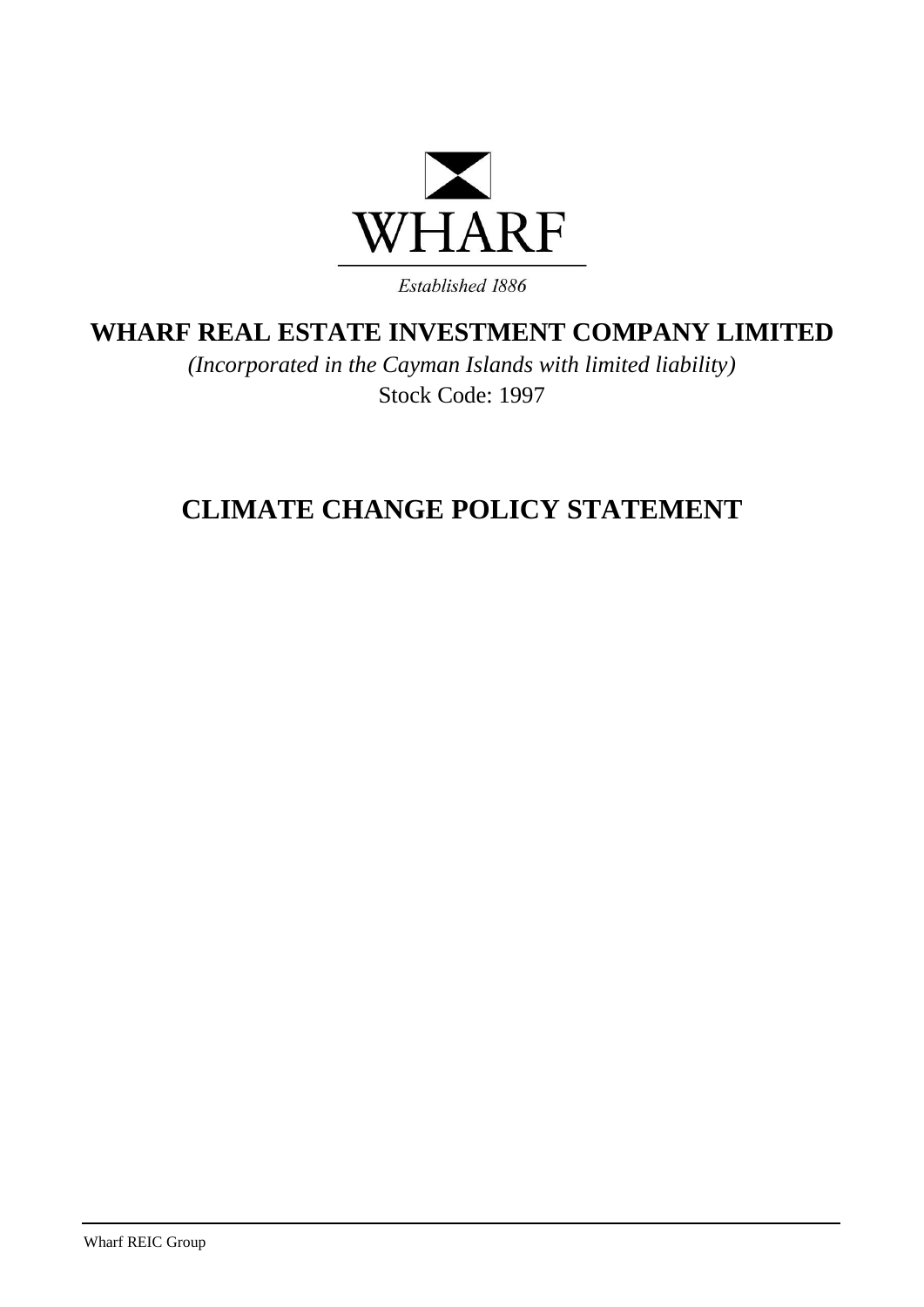

**WHARF REAL ESTATE INVESTMENT COMPANY LIMITED**

*(Incorporated in the Cayman Islands with limited liability)* Stock Code: 1997

## **CLIMATE CHANGE POLICY STATEMENT**